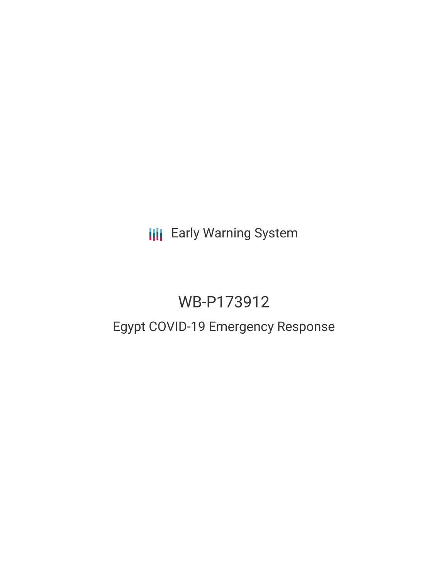**III** Early Warning System

# WB-P173912

## Egypt COVID-19 Emergency Response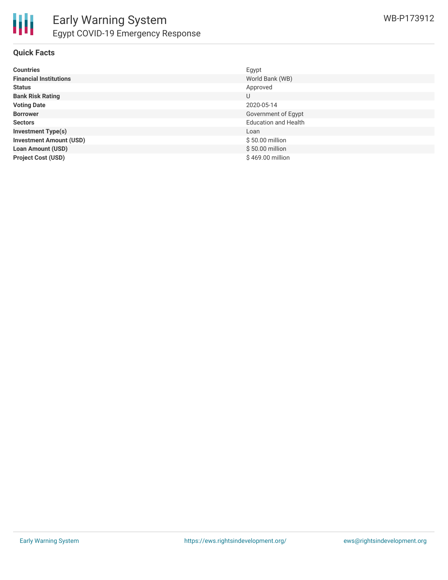

#### **Quick Facts**

| <b>Countries</b>               | Egypt                       |
|--------------------------------|-----------------------------|
| <b>Financial Institutions</b>  | World Bank (WB)             |
| <b>Status</b>                  | Approved                    |
| <b>Bank Risk Rating</b>        | U                           |
| <b>Voting Date</b>             | 2020-05-14                  |
| <b>Borrower</b>                | Government of Egypt         |
| <b>Sectors</b>                 | <b>Education and Health</b> |
| <b>Investment Type(s)</b>      | Loan                        |
| <b>Investment Amount (USD)</b> | $$50.00$ million            |
| <b>Loan Amount (USD)</b>       | \$50.00 million             |
| <b>Project Cost (USD)</b>      | \$469.00 million            |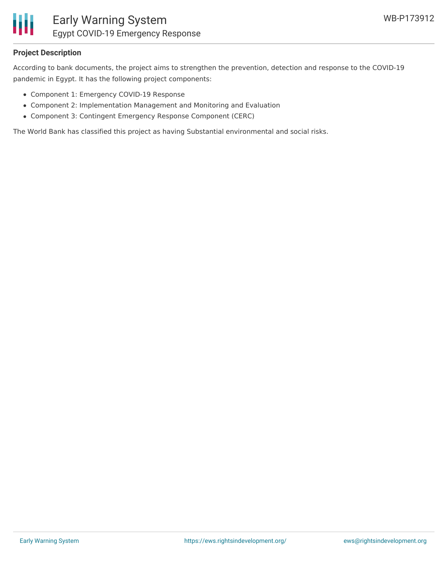

#### **Project Description**

According to bank documents, the project aims to strengthen the prevention, detection and response to the COVID-19 pandemic in Egypt. It has the following project components:

- Component 1: Emergency COVID-19 Response
- Component 2: Implementation Management and Monitoring and Evaluation
- Component 3: Contingent Emergency Response Component (CERC)

The World Bank has classified this project as having Substantial environmental and social risks.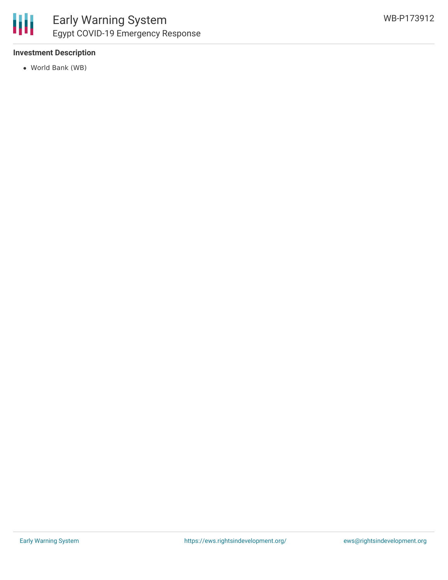#### **Investment Description**

World Bank (WB)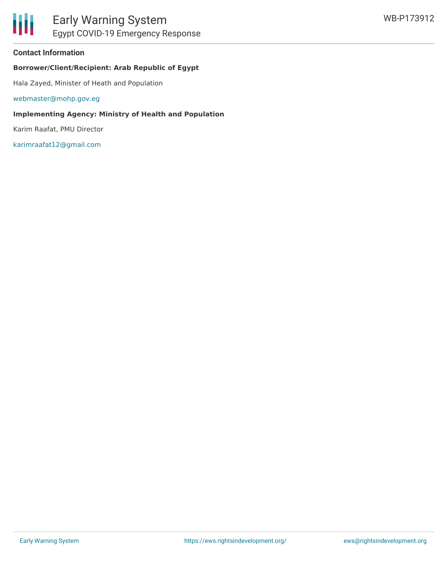#### **Contact Information**

#### **Borrower/Client/Recipient: Arab Republic of Egypt**

Hala Zayed, Minister of Heath and Population

[webmaster@mohp.gov.eg](mailto:webmaster@mohp.gov.eg)

#### **Implementing Agency: Ministry of Health and Population**

Karim Raafat, PMU Director

[karimraafat12@gmail.com](mailto:karimraafat12@gmail.com)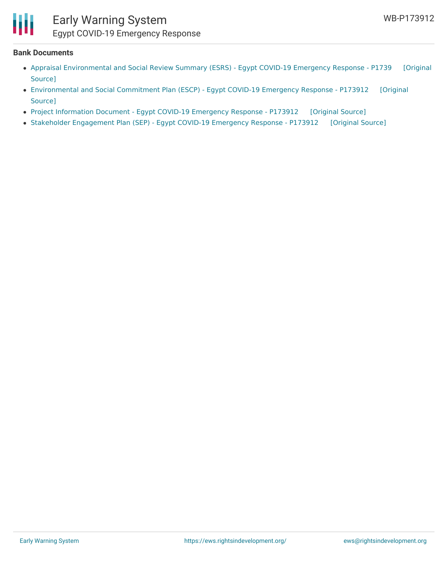

### Early Warning System Egypt COVID-19 Emergency Response

#### **Bank Documents**

- Appraisal [Environmental](https://ewsdata.rightsindevelopment.org/files/documents/12/WB-P173912_k3Cjf2d.pdf) and Social Review Summary (ESRS) Egypt COVID-19 Emergency Response P1739 [Original Source]
- [Environmental](https://ewsdata.rightsindevelopment.org/files/documents/12/WB-P173912.pdf) and Social Commitment Plan (ESCP) Egypt COVID-19 Emergency Response P173912 [Original Source]
- Project [Information](https://ewsdata.rightsindevelopment.org/files/documents/12/WB-P173912_z2v6oZQ.pdf) Document Egypt COVID-19 Emergency Response P173912 [\[Original](http://documents.worldbank.org/curated/en/906831588109454283/pdf/Project-Information-Document-Egypt-COVID-19-Emergency-Response-P173912.pdf) Source]
- Stakeholder [Engagement](https://ewsdata.rightsindevelopment.org/files/documents/12/WB-P173912_SYJSZdA.pdf) Plan (SEP) Egypt COVID-19 Emergency Response P173912 [\[Original](http://documents.worldbank.org/curated/en/480921588106986176/pdf/Stakeholder-Engagement-Plan-SEP-Egypt-COVID-19-Emergency-Response-P173912.pdf) Source]